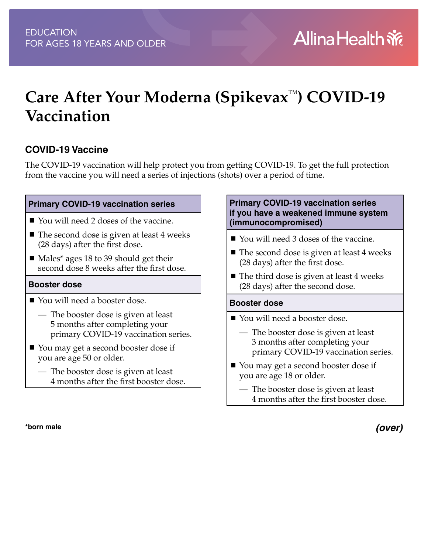# **Care After Your Moderna (Spikevax**™**) COVID-19 Vaccination**

#### **COVID-19 Vaccine**

The COVID-19 vaccination will help protect you from getting COVID-19. To get the full protection from the vaccine you will need a series of injections (shots) over a period of time.

#### **Primary COVID-19 vaccination series**

- You will need 2 doses of the vaccine.
- $\blacksquare$  The second dose is given at least 4 weeks (28 days) after the first dose.
- Males<sup>\*</sup> ages 18 to 39 should get their second dose 8 weeks after the first dose.

#### **Booster dose**

- You will need a booster dose.
	- The booster dose is given at least 5 months after completing your primary COVID-19 vaccination series.
- You may get a second booster dose if you are age 50 or older.
	- The booster dose is given at least 4 months after the first booster dose.

#### **\*born male**

#### **Primary COVID-19 vaccination series if you have a weakened immune system (immunocompromised)**

- You will need 3 doses of the vaccine.
- The second dose is given at least 4 weeks (28 days) after the first dose.
- $\blacksquare$  The third dose is given at least 4 weeks (28 days) after the second dose.

#### **Booster dose**

- You will need a booster dose.
	- The booster dose is given at least 3 months after completing your primary COVID-19 vaccination series.
- You may get a second booster dose if you are age 18 or older.
	- The booster dose is given at least 4 months after the first booster dose.

*(over)*